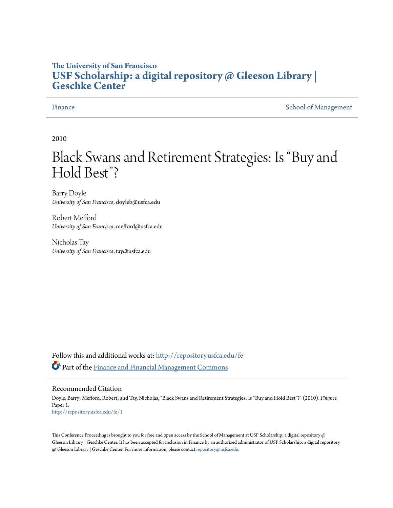# **The University of San Francisco [USF Scholarship: a digital repository @ Gleeson Library |](http://repository.usfca.edu?utm_source=repository.usfca.edu%2Ffe%2F1&utm_medium=PDF&utm_campaign=PDFCoverPages) [Geschke Center](http://repository.usfca.edu?utm_source=repository.usfca.edu%2Ffe%2F1&utm_medium=PDF&utm_campaign=PDFCoverPages)**

[Finance](http://repository.usfca.edu/fe?utm_source=repository.usfca.edu%2Ffe%2F1&utm_medium=PDF&utm_campaign=PDFCoverPages) [School of Management](http://repository.usfca.edu/management?utm_source=repository.usfca.edu%2Ffe%2F1&utm_medium=PDF&utm_campaign=PDFCoverPages) School of Management School of Management School of Management School of Management School of Management School of Management School of Management School of Management School of Management Scho

2010

# Black Swans and Retirement Strategies: Is "Buy and Hold Best"?

Barry Doyle *University of San Francisco*, doyleb@usfca.edu

Robert Mefford *University of San Francisco*, mefford@usfca.edu

Nicholas Tay *University of San Francisco*, tay@usfca.edu

Follow this and additional works at: [http://repository.usfca.edu/fe](http://repository.usfca.edu/fe?utm_source=repository.usfca.edu%2Ffe%2F1&utm_medium=PDF&utm_campaign=PDFCoverPages) Part of the [Finance and Financial Management Commons](http://network.bepress.com/hgg/discipline/631?utm_source=repository.usfca.edu%2Ffe%2F1&utm_medium=PDF&utm_campaign=PDFCoverPages)

#### Recommended Citation

Doyle, Barry; Mefford, Robert; and Tay, Nicholas, "Black Swans and Retirement Strategies: Is "Buy and Hold Best"?" (2010). *Finance.* Paper 1. [http://repository.usfca.edu/fe/1](http://repository.usfca.edu/fe/1?utm_source=repository.usfca.edu%2Ffe%2F1&utm_medium=PDF&utm_campaign=PDFCoverPages)

This Conference Proceeding is brought to you for free and open access by the School of Management at USF Scholarship: a digital repository @ Gleeson Library | Geschke Center. It has been accepted for inclusion in Finance by an authorized administrator of USF Scholarship: a digital repository @ Gleeson Library | Geschke Center. For more information, please contact [repository@usfca.edu](mailto:repository@usfca.edu).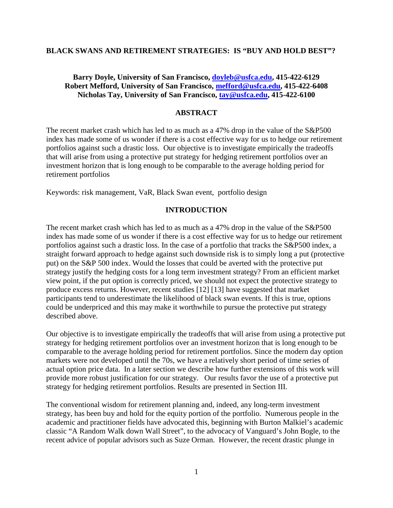#### **BLACK SWANS AND RETIREMENT STRATEGIES: IS "BUY AND HOLD BEST"?**

# **Barry Doyle, University of San Francisco, [doyleb@usfca.edu,](mailto:doyleb@usfca.edu) 415-422-6129 Robert Mefford, University of San Francisco, [mefford@usfca.edu,](mailto:mefford@usfca.edu) 415-422-6408 Nicholas Tay, University of San Francisco, [tay@usfca.edu,](mailto:tay@usfca.edu) 415-422-6100**

### **ABSTRACT**

The recent market crash which has led to as much as a 47% drop in the value of the S&P500 index has made some of us wonder if there is a cost effective way for us to hedge our retirement portfolios against such a drastic loss. Our objective is to investigate empirically the tradeoffs that will arise from using a protective put strategy for hedging retirement portfolios over an investment horizon that is long enough to be comparable to the average holding period for retirement portfolios

Keywords: risk management, VaR, Black Swan event, portfolio design

#### **INTRODUCTION**

The recent market crash which has led to as much as a 47% drop in the value of the S&P500 index has made some of us wonder if there is a cost effective way for us to hedge our retirement portfolios against such a drastic loss. In the case of a portfolio that tracks the S&P500 index, a straight forward approach to hedge against such downside risk is to simply long a put (protective put) on the S&P 500 index. Would the losses that could be averted with the protective put strategy justify the hedging costs for a long term investment strategy? From an efficient market view point, if the put option is correctly priced, we should not expect the protective strategy to produce excess returns. However, recent studies [12] [13] have suggested that market participants tend to underestimate the likelihood of black swan events. If this is true, options could be underpriced and this may make it worthwhile to pursue the protective put strategy described above.

Our objective is to investigate empirically the tradeoffs that will arise from using a protective put strategy for hedging retirement portfolios over an investment horizon that is long enough to be comparable to the average holding period for retirement portfolios. Since the modern day option markets were not developed until the 70s, we have a relatively short period of time series of actual option price data. In a later section we describe how further extensions of this work will provide more robust justification for our strategy. Our results favor the use of a protective put strategy for hedging retirement portfolios. Results are presented in Section III.

The conventional wisdom for retirement planning and, indeed, any long-term investment strategy, has been buy and hold for the equity portion of the portfolio. Numerous people in the academic and practitioner fields have advocated this, beginning with Burton Malkiel's academic classic "A Random Walk down Wall Street", to the advocacy of Vanguard's John Bogle, to the recent advice of popular advisors such as Suze Orman. However, the recent drastic plunge in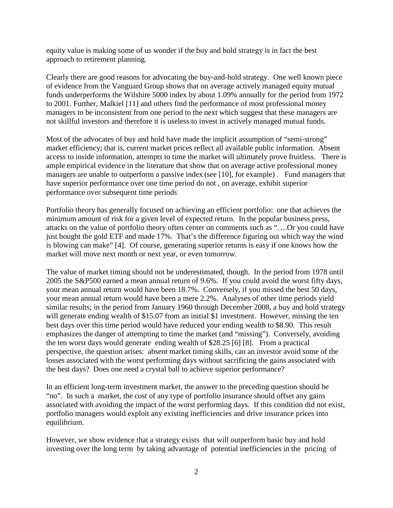equity value is making some of us wonder if the buy and hold strategy is in fact the best approach to retirement planning.

Clearly there are good reasons for advocating the buy-and-hold strategy. One well known piece of evidence from the Vanguard Group shows that on average actively managed equity mutual funds underperforms the Wilshire 5000 index by about 1.09% annually for the period from 1972 to 2001. Further, Malkiel [11] and others find the performance of most professional money managers to be inconsistent from one period to the next which suggest that these managers are not skillful investors and therefore it is useless to invest in actively managed mutual funds.

Most of the advocates of buy and hold have made the implicit assumption of "semi-strong" market efficiency; that is, current market prices reflect all available public information. Absent access to inside information, attempts to time the market will ultimately prove fruitless. There is ample empirical evidence in the literature that show that on average active professional money managers are unable to outperform a passive index (see [10], for example) . Fund managers that have superior performance over one time period do not , on average, exhibit superior performance over subsequent time periods

Portfolio theory has generally focused on achieving an efficient portfolio: one that achieves the minimum amount of risk for a given level of expected return. In the popular business press, attacks on the value of portfolio theory often center on comments such as "….Or you could have just bought the gold ETF and made 17%. That's the difference figuring out which way the wind is blowing can make" [4]. Of course, generating superior returns is easy if one knows how the market will move next month or next year, or even tomorrow.

The value of market timing should not be underestimated, though. In the period from 1978 until 2005 the S&P500 earned a mean annual return of 9.6%. If you could avoid the worst fifty days, your mean annual return would have been 18.7%. Conversely, if you missed the best 50 days, your mean annual return would have been a mere 2.2%. Analyses of other time periods yield similar results; in the period from January 1960 through December 2008, a buy and hold strategy will generate ending wealth of \$15.07 from an initial \$1 investment. However, missing the ten best days over this time period would have reduced your ending wealth to \$8.90. This result emphasizes the danger of attempting to time the market (and "missing"). Conversely, avoiding the ten worst days would generate ending wealth of \$28.25 [6] [8]. From a practical perspective, the question arises: absent market timing skills, can an investor avoid some of the losses associated with the worst performing days without sacrificing the gains associated with the best days? Does one need a crystal ball to achieve superior performance?

In an efficient long-term investment market, the answer to the preceding question should be "no". In such a market, the cost of any type of portfolio insurance should offset any gains associated with avoiding the impact of the worst performing days. If this condition did not exist, portfolio managers would exploit any existing inefficiencies and drive insurance prices into equilibrium.

However, we show evidence that a strategy exists that will outperform basic buy and hold investing over the long term by taking advantage of potential inefficiencies in the pricing of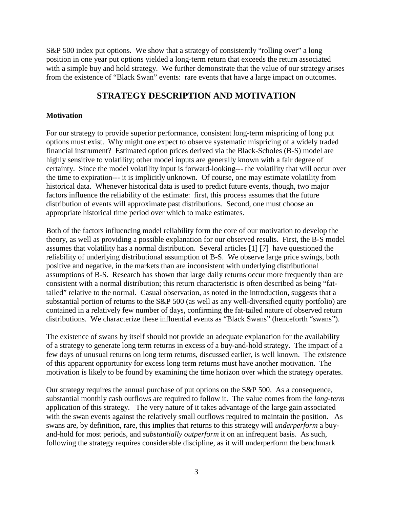S&P 500 index put options. We show that a strategy of consistently "rolling over" a long position in one year put options yielded a long-term return that exceeds the return associated with a simple buy and hold strategy. We further demonstrate that the value of our strategy arises from the existence of "Black Swan" events: rare events that have a large impact on outcomes.

# **STRATEGY DESCRIPTION AND MOTIVATION**

### **Motivation**

For our strategy to provide superior performance, consistent long-term mispricing of long put options must exist. Why might one expect to observe systematic mispricing of a widely traded financial instrument? Estimated option prices derived via the Black-Scholes (B-S) model are highly sensitive to volatility; other model inputs are generally known with a fair degree of certainty. Since the model volatility input is forward-looking--- the volatility that will occur over the time to expiration--- it is implicitly unknown. Of course, one may estimate volatility from historical data. Whenever historical data is used to predict future events, though, two major factors influence the reliability of the estimate: first, this process assumes that the future distribution of events will approximate past distributions. Second, one must choose an appropriate historical time period over which to make estimates.

Both of the factors influencing model reliability form the core of our motivation to develop the theory, as well as providing a possible explanation for our observed results. First, the B-S model assumes that volatility has a normal distribution. Several articles [1] [7] have questioned the reliability of underlying distributional assumption of B-S. We observe large price swings, both positive and negative, in the markets than are inconsistent with underlying distributional assumptions of B-S. Research has shown that large daily returns occur more frequently than are consistent with a normal distribution; this return characteristic is often described as being "fattailed" relative to the normal. Casual observation, as noted in the introduction, suggests that a substantial portion of returns to the S&P 500 (as well as any well-diversified equity portfolio) are contained in a relatively few number of days, confirming the fat-tailed nature of observed return distributions. We characterize these influential events as "Black Swans" (henceforth "swans").

The existence of swans by itself should not provide an adequate explanation for the availability of a strategy to generate long term returns in excess of a buy-and-hold strategy. The impact of a few days of unusual returns on long term returns, discussed earlier, is well known. The existence of this apparent opportunity for excess long term returns must have another motivation. The motivation is likely to be found by examining the time horizon over which the strategy operates.

Our strategy requires the annual purchase of put options on the S&P 500. As a consequence, substantial monthly cash outflows are required to follow it. The value comes from the *long-term* application of this strategy. The very nature of it takes advantage of the large gain associated with the swan events against the relatively small outflows required to maintain the position. As swans are, by definition, rare, this implies that returns to this strategy will *underperform* a buyand-hold for most periods, and *substantially outperform* it on an infrequent basis. As such, following the strategy requires considerable discipline, as it will underperform the benchmark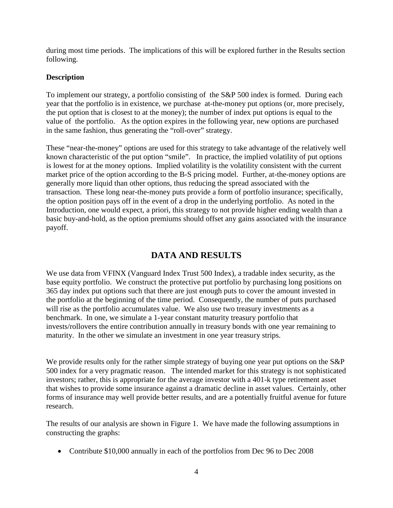during most time periods. The implications of this will be explored further in the Results section following.

# **Description**

To implement our strategy, a portfolio consisting of the S&P 500 index is formed. During each year that the portfolio is in existence, we purchase at-the-money put options (or, more precisely, the put option that is closest to at the money); the number of index put options is equal to the value of the portfolio. As the option expires in the following year, new options are purchased in the same fashion, thus generating the "roll-over" strategy.

These "near-the-money" options are used for this strategy to take advantage of the relatively well known characteristic of the put option "smile". In practice, the implied volatility of put options is lowest for at the money options. Implied volatility is the volatility consistent with the current market price of the option according to the B-S pricing model. Further, at-the-money options are generally more liquid than other options, thus reducing the spread associated with the transaction. These long near-the-money puts provide a form of portfolio insurance; specifically, the option position pays off in the event of a drop in the underlying portfolio. As noted in the Introduction, one would expect, a priori, this strategy to not provide higher ending wealth than a basic buy-and-hold, as the option premiums should offset any gains associated with the insurance payoff.

# **DATA AND RESULTS**

We use data from VFINX (Vanguard Index Trust 500 Index), a tradable index security, as the base equity portfolio. We construct the protective put portfolio by purchasing long positions on 365 day index put options such that there are just enough puts to cover the amount invested in the portfolio at the beginning of the time period. Consequently, the number of puts purchased will rise as the portfolio accumulates value. We also use two treasury investments as a benchmark. In one, we simulate a 1-year constant maturity treasury portfolio that invests/rollovers the entire contribution annually in treasury bonds with one year remaining to maturity. In the other we simulate an investment in one year treasury strips.

We provide results only for the rather simple strategy of buying one year put options on the S&P 500 index for a very pragmatic reason. The intended market for this strategy is not sophisticated investors; rather, this is appropriate for the average investor with a 401-k type retirement asset that wishes to provide some insurance against a dramatic decline in asset values. Certainly, other forms of insurance may well provide better results, and are a potentially fruitful avenue for future research.

The results of our analysis are shown in Figure 1. We have made the following assumptions in constructing the graphs:

• Contribute \$10,000 annually in each of the portfolios from Dec 96 to Dec 2008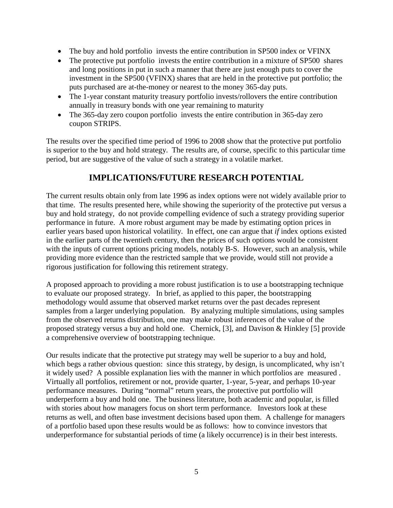- The buy and hold portfolio invests the entire contribution in SP500 index or VFINX
- The protective put portfolio invests the entire contribution in a mixture of SP500 shares and long positions in put in such a manner that there are just enough puts to cover the investment in the SP500 (VFINX) shares that are held in the protective put portfolio; the puts purchased are at-the-money or nearest to the money 365-day puts.
- The 1-year constant maturity treasury portfolio invests/rollovers the entire contribution annually in treasury bonds with one year remaining to maturity
- The 365-day zero coupon portfolio invests the entire contribution in 365-day zero coupon STRIPS.

The results over the specified time period of 1996 to 2008 show that the protective put portfolio is superior to the buy and hold strategy. The results are, of course, specific to this particular time period, but are suggestive of the value of such a strategy in a volatile market.

# **IMPLICATIONS/FUTURE RESEARCH POTENTIAL**

The current results obtain only from late 1996 as index options were not widely available prior to that time. The results presented here, while showing the superiority of the protective put versus a buy and hold strategy, do not provide compelling evidence of such a strategy providing superior performance in future. A more robust argument may be made by estimating option prices in earlier years based upon historical volatility. In effect, one can argue that *if* index options existed in the earlier parts of the twentieth century, then the prices of such options would be consistent with the inputs of current options pricing models, notably B-S. However, such an analysis, while providing more evidence than the restricted sample that we provide, would still not provide a rigorous justification for following this retirement strategy.

A proposed approach to providing a more robust justification is to use a bootstrapping technique to evaluate our proposed strategy. In brief, as applied to this paper, the bootstrapping methodology would assume that observed market returns over the past decades represent samples from a larger underlying population. By analyzing multiple simulations, using samples from the observed returns distribution, one may make robust inferences of the value of the proposed strategy versus a buy and hold one. Chernick, [3], and Davison & Hinkley [5] provide a comprehensive overview of bootstrapping technique.

Our results indicate that the protective put strategy may well be superior to a buy and hold, which begs a rather obvious question: since this strategy, by design, is uncomplicated, why isn't it widely used? A possible explanation lies with the manner in which portfolios are measured . Virtually all portfolios, retirement or not, provide quarter, 1-year, 5-year, and perhaps 10-year performance measures. During "normal" return years, the protective put portfolio will underperform a buy and hold one. The business literature, both academic and popular, is filled with stories about how managers focus on short term performance. Investors look at these returns as well, and often base investment decisions based upon them. A challenge for managers of a portfolio based upon these results would be as follows: how to convince investors that underperformance for substantial periods of time (a likely occurrence) is in their best interests.